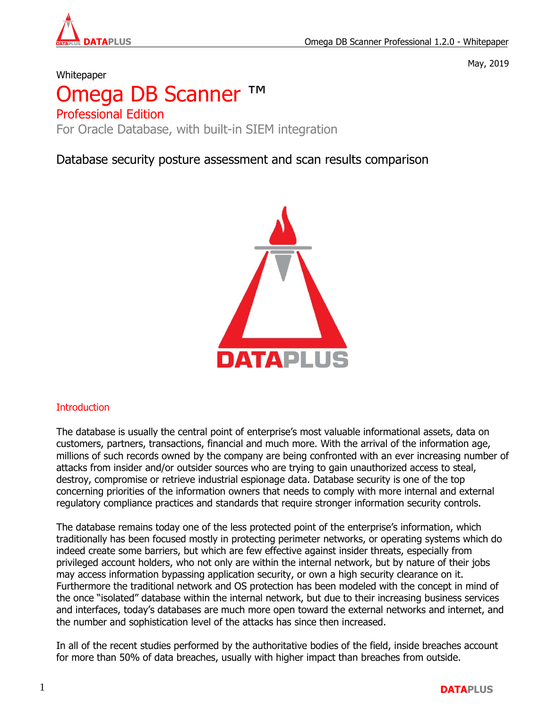

May, 2019

# **Whitepaper**

# Omega DB Scanner Professional Edition For Oracle Database, with built-in SIEM integration

Database security posture assessment and scan results comparison



# **Introduction**

The database is usually the central point of enterprise's most valuable informational assets, data on customers, partners, transactions, financial and much more. With the arrival of the information age, millions of such records owned by the company are being confronted with an ever increasing number of attacks from insider and/or outsider sources who are trying to gain unauthorized access to steal, destroy, compromise or retrieve industrial espionage data. Database security is one of the top concerning priorities of the information owners that needs to comply with more internal and external regulatory compliance practices and standards that require stronger information security controls.

The database remains today one of the less protected point of the enterprise's information, which traditionally has been focused mostly in protecting perimeter networks, or operating systems which do indeed create some barriers, but which are few effective against insider threats, especially from privileged account holders, who not only are within the internal network, but by nature of their jobs may access information bypassing application security, or own a high security clearance on it. Furthermore the traditional network and OS protection has been modeled with the concept in mind of the once "isolated" database within the internal network, but due to their increasing business services and interfaces, today's databases are much more open toward the external networks and internet, and the number and sophistication level of the attacks has since then increased.

In all of the recent studies performed by the authoritative bodies of the field, inside breaches account for more than 50% of data breaches, usually with higher impact than breaches from outside.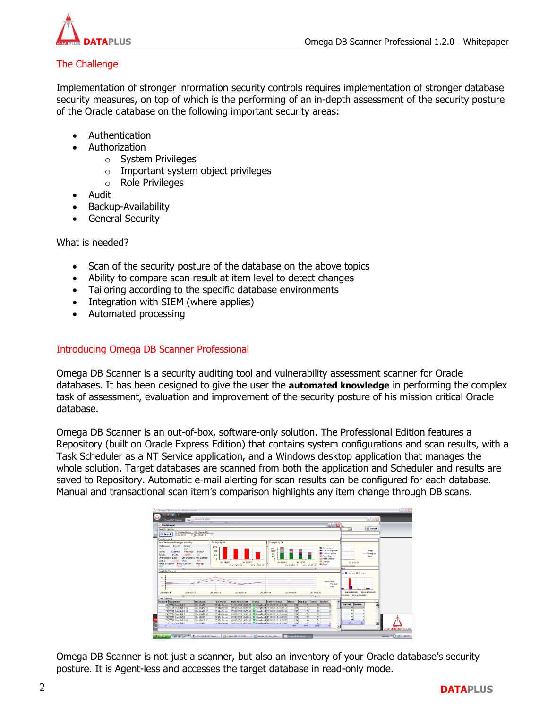

# The Challenge

Implementation of stronger information security controls requires implementation of stronger database security measures, on top of which is the performing of an in-depth assessment of the security posture of the Oracle database on the following important security areas:

- Authentication
- Authorization
	- o System Privileges
	- o Important system object privileges
	- o Role Privileges
- Audit
- Backup-Availability
- General Security

What is needed?

- Scan of the security posture of the database on the above topics
- Ability to compare scan result at item level to detect changes
- Tailoring according to the specific database environments
- Integration with SIEM (where applies)
- Automated processing

# Introducing Omega DB Scanner Professional

Omega DB Scanner is a security auditing tool and vulnerability assessment scanner for Oracle databases. It has been designed to give the user the **automated knowledge** in performing the complex task of assessment, evaluation and improvement of the security posture of his mission critical Oracle database.

Omega DB Scanner is an out-of-box, software-only solution. The Professional Edition features a Repository (built on Oracle Express Edition) that contains system configurations and scan results, with a Task Scheduler as a NT Service application, and a Windows desktop application that manages the whole solution. Target databases are scanned from both the application and Scheduler and results are saved to Repository. Automatic e-mail alerting for scan results can be configured for each database. Manual and transactional scan item's comparison highlights any item change through DB scans.



Omega DB Scanner is not just a scanner, but also an inventory of your Oracle database's security posture. It is Agent-less and accesses the target database in read-only mode.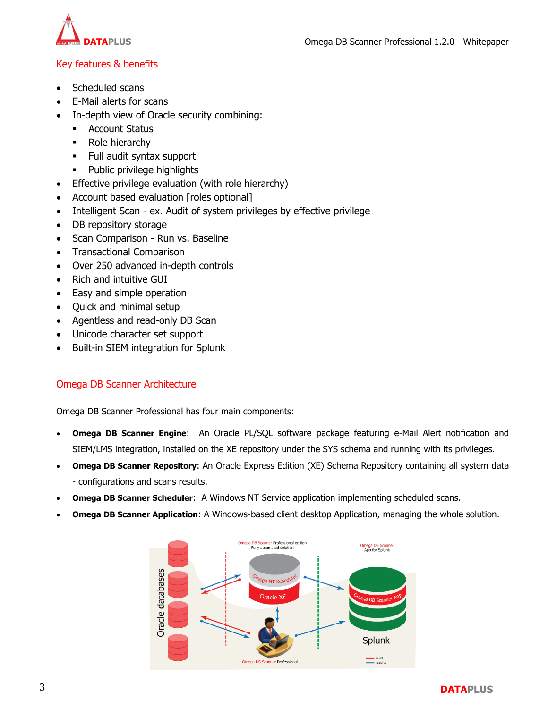

# Key features & benefits

- Scheduled scans
- E-Mail alerts for scans
- In-depth view of Oracle security combining:
	- **Account Status**
	- Role hierarchy
	- Full audit syntax support
	- Public privilege highlights
- Effective privilege evaluation (with role hierarchy)
- Account based evaluation [roles optional]
- Intelligent Scan ex. Audit of system privileges by effective privilege
- DB repository storage
- Scan Comparison Run vs. Baseline
- Transactional Comparison
- Over 250 advanced in-depth controls
- Rich and intuitive GUI
- Easy and simple operation
- Quick and minimal setup
- Agentless and read-only DB Scan
- Unicode character set support
- Built-in SIEM integration for Splunk

# Omega DB Scanner Architecture

Omega DB Scanner Professional has four main components:

- **Omega DB Scanner Engine**: An Oracle PL/SQL software package featuring e-Mail Alert notification and SIEM/LMS integration, installed on the XE repository under the SYS schema and running with its privileges.
- **Omega DB Scanner Repository**: An Oracle Express Edition (XE) Schema Repository containing all system data - configurations and scans results.
- **Omega DB Scanner Scheduler**: A Windows NT Service application implementing scheduled scans.
- **Omega DB Scanner Application**: A Windows-based client desktop Application, managing the whole solution.

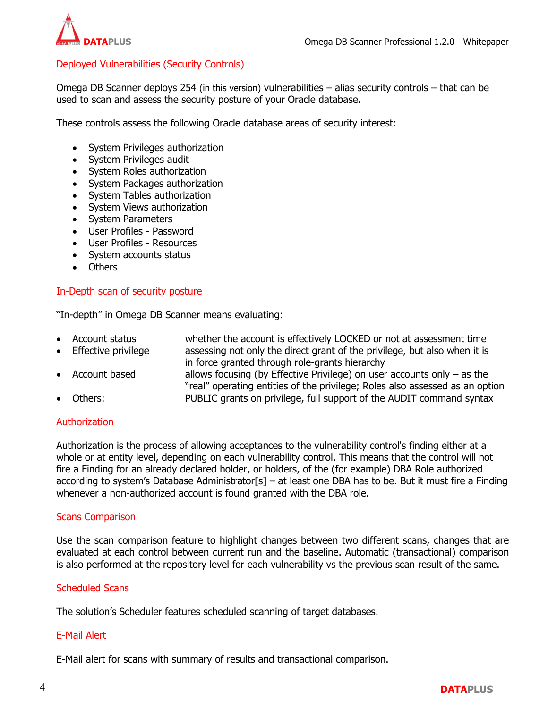

# Deployed Vulnerabilities (Security Controls)

Omega DB Scanner deploys 254 (in this version) vulnerabilities – alias security controls – that can be used to scan and assess the security posture of your Oracle database.

These controls assess the following Oracle database areas of security interest:

- System Privileges authorization
- System Privileges audit
- System Roles authorization
- System Packages authorization
- System Tables authorization
- System Views authorization
- System Parameters
- User Profiles Password
- User Profiles Resources
- System accounts status
- **Others**

## In-Depth scan of security posture

"In-depth" in Omega DB Scanner means evaluating:

- Account status whether the account is effectively LOCKED or not at assessment time
- Effective privilege assessing not only the direct grant of the privilege, but also when it is
	- in force granted through role-grants hierarchy
- Account based allows focusing (by Effective Privilege) on user accounts only as the "real" operating entities of the privilege; Roles also assessed as an option Others: PUBLIC grants on privilege, full support of the AUDIT command syntax

## Authorization

Authorization is the process of allowing acceptances to the vulnerability control's finding either at a whole or at entity level, depending on each vulnerability control. This means that the control will not fire a Finding for an already declared holder, or holders, of the (for example) DBA Role authorized according to system's Database Administrator[s] – at least one DBA has to be. But it must fire a Finding whenever a non-authorized account is found granted with the DBA role.

#### Scans Comparison

Use the scan comparison feature to highlight changes between two different scans, changes that are evaluated at each control between current run and the baseline. Automatic (transactional) comparison is also performed at the repository level for each vulnerability vs the previous scan result of the same.

## Scheduled Scans

The solution's Scheduler features scheduled scanning of target databases.

## E-Mail Alert

E-Mail alert for scans with summary of results and transactional comparison.